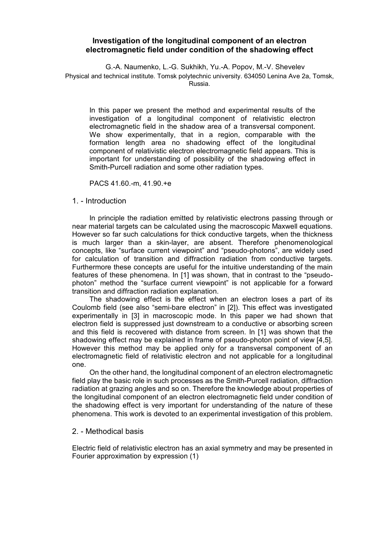# **Investigation of the longitudinal component of an electron electromagnetic field under condition of the shadowing effect**

G.-A. Naumenko, L.-G. Sukhikh, Yu.-A. Popov, M.-V. Shevelev Physical and technical institute. Tomsk polytechnic university. 634050 Lenina Ave 2a, Tomsk, Russia.

In this paper we present the method and experimental results of the investigation of a longitudinal component of relativistic electron electromagnetic field in the shadow area of a transversal component. We show experimentally, that in a region, comparable with the formation length area no shadowing effect of the longitudinal component of relativistic electron electromagnetic field appears. This is important for understanding of possibility of the shadowing effect in Smith-Purcell radiation and some other radiation types.

PACS 41.60.-m, 41.90.+e

### 1. - Introduction

In principle the radiation emitted by relativistic electrons passing through or near material targets can be calculated using the macroscopic Maxwell equations. However so far such calculations for thick conductive targets, when the thickness is much larger than a skin-layer, are absent. Therefore phenomenological concepts, like "surface current viewpoint" and "pseudo-photons", are widely used for calculation of transition and diffraction radiation from conductive targets. Furthermore these concepts are useful for the intuitive understanding of the main features of these phenomena. In [1] was shown, that in contrast to the "pseudophoton" method the "surface current viewpoint" is not applicable for a forward transition and diffraction radiation explanation.

The shadowing effect is the effect when an electron loses a part of its Coulomb field (see also "semi-bare electron" in [2]). This effect was investigated experimentally in [3] in macroscopic mode. In this paper we had shown that electron field is suppressed just downstream to a conductive or absorbing screen and this field is recovered with distance from screen. In [1] was shown that the shadowing effect may be explained in frame of pseudo-photon point of view [4,5]. However this method may be applied only for a transversal component of an electromagnetic field of relativistic electron and not applicable for a longitudinal one.

On the other hand, the longitudinal component of an electron electromagnetic field play the basic role in such processes as the Smith-Purcell radiation, diffraction radiation at grazing angles and so on. Therefore the knowledge about properties of the longitudinal component of an electron electromagnetic field under condition of the shadowing effect is very important for understanding of the nature of these phenomena. This work is devoted to an experimental investigation of this problem.

#### 2. - Methodical basis

Electric field of relativistic electron has an axial symmetry and may be presented in Fourier approximation by expression (1)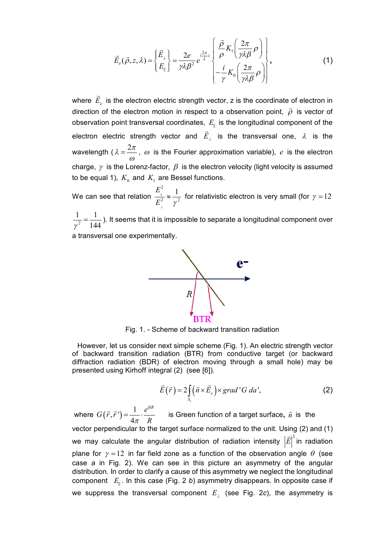$$
\vec{E}_e(\vec{\rho}, z, \lambda) = \begin{cases} \vec{E}_{\perp} \\ E_{\parallel} \end{cases} = \frac{2e}{\gamma \lambda \beta^2} e^{-i\frac{2\pi}{\lambda}z} \begin{bmatrix} \frac{\vec{\rho}}{\rho} K_1 \left( \frac{2\pi}{\gamma \lambda \beta} \rho \right) \\ -\frac{i}{\gamma} K_0 \left( \frac{2\pi}{\gamma \lambda \beta} \rho \right) \end{bmatrix},
$$
(1)

where  $E_e$  $\rightarrow$  is the electron electric strength vector, z is the coordinate of electron in direction of the electron motion in respect to a observation point,  $\vec{\rho}$  $\vec{o}$  is vector of observation point transversal coordinates, *E* is the longitudinal component of the electron electric strength vector and *E*  $\rightarrow$ is the transversal one,  $\lambda$  is the wavelength (  $\lambda = \frac{2\pi}{\pi}$  $=\frac{2\pi}{\omega}$ ,  $\omega$  is the Fourier approximation variable), *e* is the electron charge,  $\gamma$  is the Lorenz-factor,  $\beta$  is the electron velocity (light velocity is assumed to be equal 1),  $\,K_{_0}\,$  and  $\,K_{_1}\,$  are Bessel functions.

We can see that relation 2 2  $\sim$   $\frac{2}{\pi}$  $E_{\scriptscriptstyle \parallel}^2=1$  $E_{_\perp}^2$  y  $\frac{1}{2} \approx \frac{1}{2}$  for relativistic electron is very small (for  $\gamma = 12$ 

2 1 1  $\gamma^2$  144  $=\frac{1}{1+i}$ ). It seems that it is impossible to separate a longitudinal component over

a transversal one experimentally.



Fig. 1. - Scheme of backward transition radiation

However, let us consider next simple scheme (Fig. 1). An electric strength vector of backward transition radiation (BTR) from conductive target (or backward diffraction radiation (BDR) of electron moving through a small hole) may be presented using Kirhoff integral (2) (see [6]).

$$
\vec{E}(\vec{r}) = 2 \int_{S_1} (\vec{n} \times \vec{E}_e) \times grad'G da', \qquad (2)
$$

where  $G(\vec{r}, \vec{r})$  $(\vec{r}) = \frac{1}{4}$ 4  $G(\vec{r}, \vec{r}) = \frac{1}{4} \cdot \frac{e^{ikR}}{R}$  *R*  $(\vec{r}, \vec{r}) = \frac{1}{\sqrt{2\pi}} \cdot \frac{e^{ikR}}{R}$  is Green function of a target surface,  $\vec{n}$  is the vector perpendicular to the target surface normalized to the unit. Using (2) and (1) we may calculate the angular distribution of radiation intensity  $\big|\vec{E}\big|^2$  in radiation  $\ddot{\ }$ plane for  $\gamma = 12$  in far field zone as a function of the observation angle  $\theta$  (see case *a* in Fig. 2). We can see in this picture an asymmetry of the angular distribution. In order to clarify a cause of this asymmetry we neglect the longitudinal component *E* . In this case (Fig. 2 *b*) asymmetry disappears. In opposite case if we suppress the transversal component  $E_{\perp}$  (see Fig. 2*c*), the asymmetry is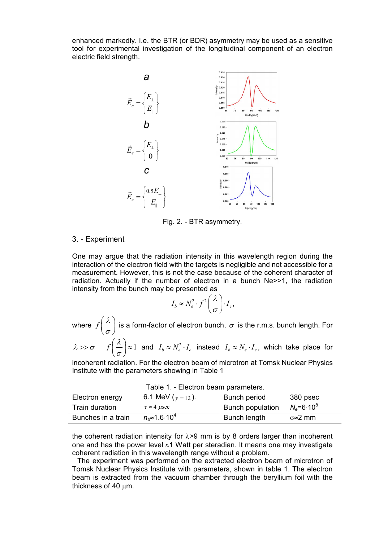enhanced markedly. I.e. the BTR (or BDR) asymmetry may be used as a sensitive tool for experimental investigation of the longitudinal component of an electron electric field strength.



Fig. 2. - BTR asymmetry.

## 3. - Experiment

One may argue that the radiation intensity in this wavelength region during the interaction of the electron field with the targets is negligible and not accessible for a measurement. However, this is not the case because of the coherent character of radiation. Actually if the number of electron in a bunch Ne>>1, the radiation intensity from the bunch may be presented as

$$
I_b \approx N_e^2 \cdot f^2 \left(\frac{\lambda}{\sigma}\right) \cdot I_e,
$$

where  $f\Big(\frac{\lambda}{\tau}\Big)$  $\left(\frac{\lambda}{\sigma}\right)$  is a form-factor of electron bunch,  $\sigma$  is the r.m.s. bunch length. For

$$
\lambda \gg \sigma
$$
  $f\left(\frac{\lambda}{\sigma}\right) \approx 1$  and  $I_b \approx N_e^2 \cdot I_e$  instead  $I_b \approx N_e \cdot I_e$ , which take place for

incoherent radiation. For the electron beam of microtron at Tomsk Nuclear Physics Institute with the parameters showing in Table 1

| Table 1. Election beam parameters. |                                |                  |                       |
|------------------------------------|--------------------------------|------------------|-----------------------|
| Electron energy                    | 6.1 MeV ( $v = 12$ ).          | Bunch period     | 380 psec              |
| Train duration                     | $\tau \approx 4$ usec          | Bunch population | $N_e = 6.10^8$        |
| Bunches in a train                 | $n_{h} \approx 1.6 \cdot 10^4$ | Bunch length     | $\sigma \approx 2$ mm |

Table 1. - Electron beam parameters.

the coherent radiation intensity for  $\lambda > 9$  mm is by 8 orders larger than incoherent one and has the power level  $\approx$ 1 Watt per steradian. It means one may investigate coherent radiation in this wavelength range without a problem.

The experiment was performed on the extracted electron beam of microtron of Tomsk Nuclear Physics Institute with parameters, shown in table 1. The electron beam is extracted from the vacuum chamber through the beryllium foil with the thickness of 40 um.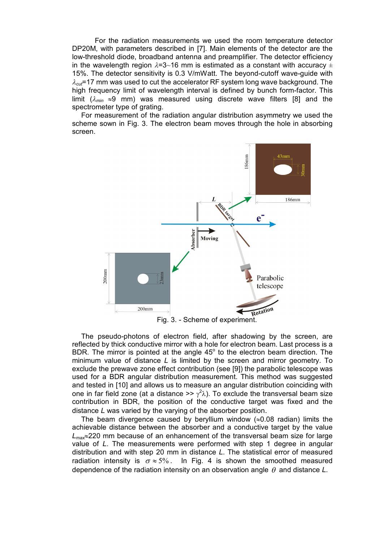For the radiation measurements we used the room temperature detector DP20M, with parameters described in [7]. Main elements of the detector are the low-threshold diode, broadband antenna and preamplifier. The detector efficiency in the wavelength region  $\lambda = 3~16$  mm is estimated as a constant with accuracy  $\pm$ 15%. The detector sensitivity is 0.3 V/mWatt. The beyond-cutoff wave-guide with  $\lambda_{\text{cut}}$ =17 mm was used to cut the accelerator RF system long wave background. The high frequency limit of wavelength interval is defined by bunch form-factor. This limit ( $\lambda_{min} \approx 9$  mm) was measured using discrete wave filters [8] and the spectrometer type of grating.

For measurement of the radiation angular distribution asymmetry we used the scheme sown in Fig. 3. The electron beam moves through the hole in absorbing screen.



Fig. 3. - Scheme of experiment.

The pseudo-photons of electron field, after shadowing by the screen, are reflected by thick conductive mirror with a hole for electron beam. Last process is a BDR. The mirror is pointed at the angle  $45^{\circ}$  to the electron beam direction. The minimum value of distance *L* is limited by the screen and mirror geometry. To exclude the prewave zone effect contribution (see [9]) the parabolic telescope was used for a BDR angular distribution measurement. This method was suggested and tested in [10] and allows us to measure an angular distribution coinciding with one in far field zone (at a distance >>  $\gamma^2 \lambda$ ). To exclude the transversal beam size contribution in BDR, the position of the conductive target was fixed and the distance *L* was varied by the varying of the absorber position.

The beam divergence caused by beryllium window  $(\approx 0.08 \text{ radian})$  limits the achievable distance between the absorber and a conductive target by the value  $L_{\text{max}} \approx 220$  mm because of an enhancement of the transversal beam size for large value of *L*. The measurements were performed with step 1 degree in angular distribution and with step 20 mm in distance *L*. The statistical error of measured radiation intensity is  $\sigma \approx 5\%$ . In Fig. 4 is shown the smoothed measured dependence of the radiation intensity on an observation angle  $\theta$  and distance  $L$ .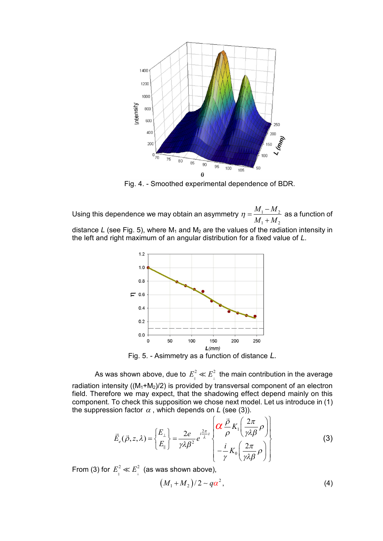

Fig. 4. - Smoothed experimental dependence of BDR.

Using this dependence we may obtain an asymmetry  $\eta = \frac{M_1 - M_2}{\sigma}$  $1 + \mu$  2  $M_1 - M_2$  $\eta = \frac{M_1 - M_2}{M_1 + M_2}$  $\ddot{}$  as a function of distance *L* (see Fig. 5), where  $M_1$  and  $M_2$  are the values of the radiation intensity in the left and right maximum of an angular distribution for a fixed value of *L*.



Fig. 5. - Asimmetry as a function of distance *L.*

As was shown above, due to  $\,E_{_{\|}}^2\ll E_{_{\bot}}^2\,$  the main contribution in the average radiation intensity ( $(M_1+M_2)/2$ ) is provided by transversal component of an electron field. Therefore we may expect, that the shadowing effect depend mainly on this component. To check this supposition we chose next model. Let us introduce in (1) the suppression factor  $\alpha$  , which depends on *L* (see (3)).

$$
\vec{E}_e(\vec{\rho}, z, \lambda) = \left\{ \frac{E_\perp}{E_\parallel} \right\} = \frac{2e}{\gamma \lambda \beta^2} e^{-i\frac{2\pi}{\lambda}z} \left\{ \frac{\vec{\rho}}{\rho} K_1 \left( \frac{2\pi}{\gamma \lambda \beta} \rho \right) \right\} - \frac{i}{\gamma} K_0 \left( \frac{2\pi}{\gamma \lambda \beta} \rho \right) \right\}
$$
(3)

From (3) for  $E_{\parallel}^2 \ll E_{\perp}^2$  (as was shown above),

$$
(M_1 + M_2)/2 \sim q\alpha^2, \qquad (4)
$$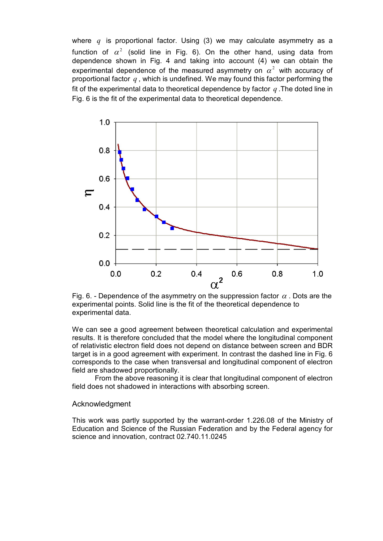where *q* is proportional factor. Using (3) we may calculate asymmetry as a function of  $\alpha^2$  (solid line in Fig. 6). On the other hand, using data from dependence shown in Fig. 4 and taking into account (4) we can obtain the experimental dependence of the measured asymmetry on  $\alpha^2$  with accuracy of proportional factor *q* , which is undefined. We may found this factor performing the fit of the experimental data to theoretical dependence by factor *q* .The doted line in Fig. 6 is the fit of the experimental data to theoretical dependence.



Fig. 6. - Dependence of the asymmetry on the suppression factor  $\alpha$ . Dots are the experimental points. Solid line is the fit of the theoretical dependence to experimental data.

We can see a good agreement between theoretical calculation and experimental results. It is therefore concluded that the model where the longitudinal component of relativistic electron field does not depend on distance between screen and BDR target is in a good agreement with experiment. In contrast the dashed line in Fig. 6 corresponds to the case when transversal and longitudinal component of electron field are shadowed proportionally.

From the above reasoning it is clear that longitudinal component of electron field does not shadowed in interactions with absorbing screen.

## Acknowledgment

This work was partly supported by the warrant-order 1.226.08 of the Ministry of Education and Science of the Russian Federation and by the Federal agency for science and innovation, contract 02.740.11.0245